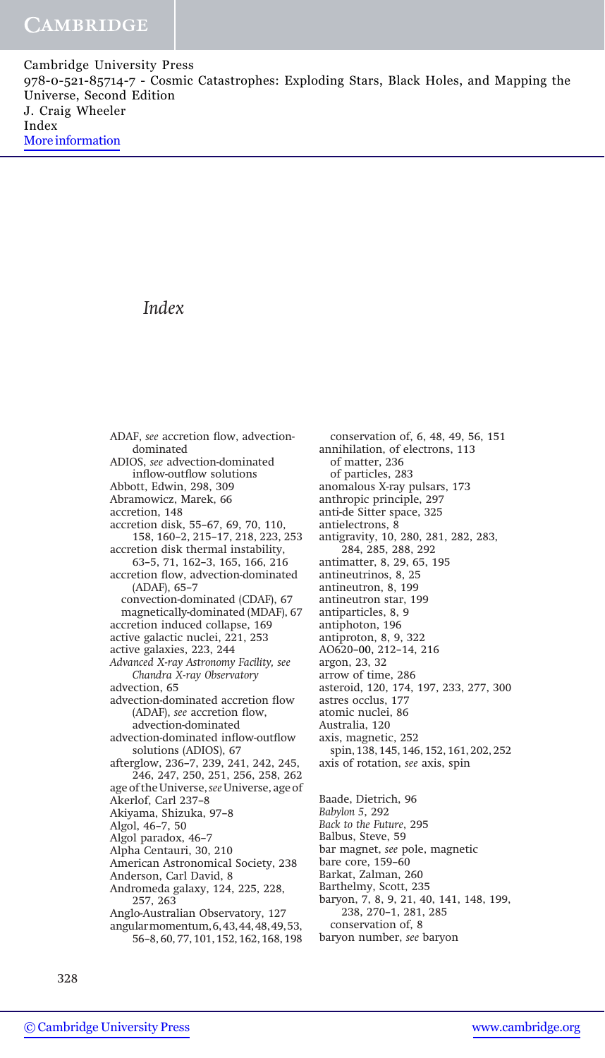## Index

ADAF, see accretion flow, advectiondominated ADIOS, see advection-dominated inflow-outflow solutions Abbott, Edwin, 298, 309 Abramowicz, Marek, 66 accretion, 148 accretion disk, 55–67, 69, 70, 110, 158, 160–2, 215–17, 218, 223, 253 accretion disk thermal instability, 63–5, 71, 162–3, 165, 166, 216 accretion flow, advection-dominated (ADAF), 65–7 convection-dominated (CDAF), 67 magnetically-dominated (MDAF), 67 accretion induced collapse, 169 active galactic nuclei, 221, 253 active galaxies, 223, 244 Advanced X-ray Astronomy Facility, see Chandra X-ray Observatory advection, 65 advection-dominated accretion flow (ADAF), see accretion flow, advection-dominated advection-dominated inflow-outflow solutions (ADIOS), 67 afterglow, 236–7, 239, 241, 242, 245, 246, 247, 250, 251, 256, 258, 262 age of the Universe, see Universe, age of Akerlof, Carl 237–8 Akiyama, Shizuka, 97–8 Algol, 46–7, 50 Algol paradox, 46–7 Alpha Centauri, 30, 210 American Astronomical Society, 238 Anderson, Carl David, 8 Andromeda galaxy, 124, 225, 228, 257, 263 Anglo-Australian Observatory, 127 angularmomentum,6,43,44,48,49,53, 56–8, 60, 77, 101, 152, 162, 168, 198

conservation of, 6, 48, 49, 56, 151 annihilation, of electrons, 113 of matter, 236 of particles, 283 anomalous X-ray pulsars, 173 anthropic principle, 297 anti-de Sitter space, 325 antielectrons, 8 antigravity, 10, 280, 281, 282, 283, 284, 285, 288, 292 antimatter, 8, 29, 65, 195 antineutrinos, 8, 25 antineutron, 8, 199 antineutron star, 199 antiparticles, 8, 9 antiphoton, 196 antiproton, 8, 9, 322 AO620–00, 212–14, 216 argon, 23, 32 arrow of time, 286 asteroid, 120, 174, 197, 233, 277, 300 astres occlus, 177 atomic nuclei, 86 Australia, 120 axis, magnetic, 252 spin, 138, 145, 146, 152, 161, 202, 252 axis of rotation, see axis, spin Baade, Dietrich, 96

Babylon 5, 292

Back to the Future, 295

Balbus, Steve, 59

bar magnet, see pole, magnetic

bare core, 159–60

- Barkat, Zalman, 260
- Barthelmy, Scott, 235
- baryon, 7, 8, 9, 21, 40, 141, 148, 199, 238, 270–1, 281, 285

conservation of, 8

baryon number, see baryon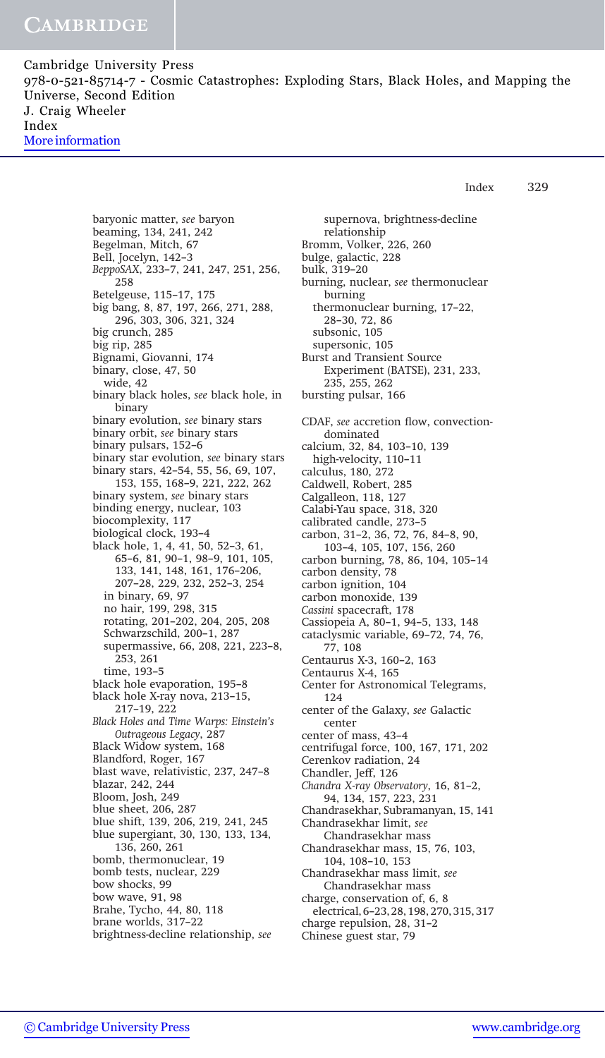Index 329

baryonic matter, see baryon beaming, 134, 241, 242 Begelman, Mitch, 67 Bell, Jocelyn, 142–3 BeppoSAX, 233–7, 241, 247, 251, 256, 258 Betelgeuse, 115–17, 175 big bang, 8, 87, 197, 266, 271, 288, 296, 303, 306, 321, 324 big crunch, 285 big rip, 285 Bignami, Giovanni, 174 binary, close, 47, 50 wide, 42 binary black holes, see black hole, in binary binary evolution, see binary stars binary orbit, see binary stars binary pulsars, 152–6 binary star evolution, see binary stars binary stars, 42–54, 55, 56, 69, 107, 153, 155, 168–9, 221, 222, 262 binary system, see binary stars binding energy, nuclear, 103 biocomplexity, 117 biological clock, 193–4 black hole, 1, 4, 41, 50, 52–3, 61, 65–6, 81, 90–1, 98–9, 101, 105, 133, 141, 148, 161, 176–206, 207–28, 229, 232, 252–3, 254 in binary, 69, 97 no hair, 199, 298, 315 rotating, 201–202, 204, 205, 208 Schwarzschild, 200–1, 287 supermassive, 66, 208, 221, 223–8, 253, 261 time, 193–5 black hole evaporation, 195–8 black hole X-ray nova, 213–15, 217–19, 222 Black Holes and Time Warps: Einstein's Outrageous Legacy, 287 Black Widow system, 168 Blandford, Roger, 167 blast wave, relativistic, 237, 247–8 blazar, 242, 244 Bloom, Josh, 249 blue sheet, 206, 287 blue shift, 139, 206, 219, 241, 245 blue supergiant, 30, 130, 133, 134, 136, 260, 261 bomb, thermonuclear, 19 bomb tests, nuclear, 229 bow shocks, 99 bow wave, 91, 98 Brahe, Tycho, 44, 80, 118 brane worlds, 317–22 brightness-decline relationship, see

supernova, brightness-decline relationship Bromm, Volker, 226, 260 bulge, galactic, 228 bulk, 319–20 burning, nuclear, see thermonuclear burning thermonuclear burning, 17–22, 28–30, 72, 86 subsonic, 105 supersonic, 105 Burst and Transient Source Experiment (BATSE), 231, 233, 235, 255, 262 bursting pulsar, 166 CDAF, see accretion flow, convectiondominated calcium, 32, 84, 103–10, 139 high-velocity, 110–11 calculus, 180, 272 Caldwell, Robert, 285 Calgalleon, 118, 127 Calabi-Yau space, 318, 320 calibrated candle, 273–5 carbon, 31–2, 36, 72, 76, 84–8, 90, 103–4, 105, 107, 156, 260 carbon burning, 78, 86, 104, 105–14 carbon density, 78 carbon ignition, 104 carbon monoxide, 139 Cassini spacecraft, 178 Cassiopeia A, 80–1, 94–5, 133, 148 cataclysmic variable, 69–72, 74, 76, 77, 108 Centaurus X-3, 160–2, 163 Centaurus X-4, 165 Center for Astronomical Telegrams, 124 center of the Galaxy, see Galactic center center of mass, 43–4 centrifugal force, 100, 167, 171, 202 Cerenkov radiation, 24 Chandler, Jeff, 126 Chandra X-ray Observatory, 16, 81–2, 94, 134, 157, 223, 231 Chandrasekhar, Subramanyan, 15, 141 Chandrasekhar limit, see Chandrasekhar mass Chandrasekhar mass, 15, 76, 103, 104, 108–10, 153 Chandrasekhar mass limit, see Chandrasekhar mass charge, conservation of, 6, 8 electrical, 6–23, 28, 198, 270, 315, 317 charge repulsion, 28, 31–2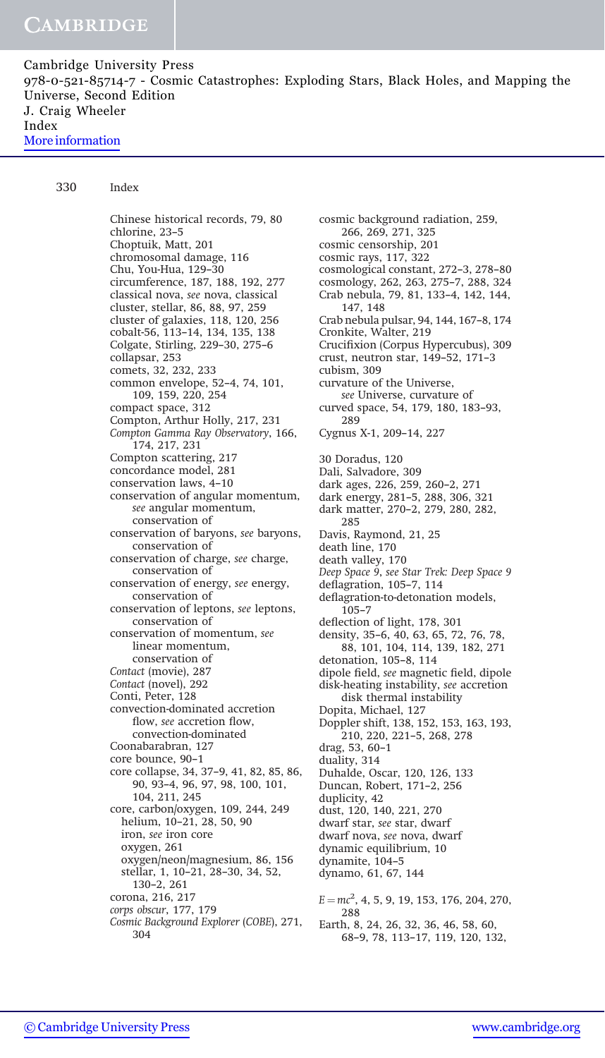330 Index

Chinese historical records, 79, 80 chlorine, 23–5 Choptuik, Matt, 201 chromosomal damage, 116 Chu, You-Hua, 129–30 circumference, 187, 188, 192, 277 classical nova, see nova, classical cluster, stellar, 86, 88, 97, 259 cluster of galaxies, 118, 120, 256 cobalt-56, 113–14, 134, 135, 138 Colgate, Stirling, 229–30, 275–6 collapsar, 253 comets, 32, 232, 233 common envelope, 52–4, 74, 101, 109, 159, 220, 254 compact space, 312 Compton, Arthur Holly, 217, 231 Compton Gamma Ray Observatory, 166, 174, 217, 231 Compton scattering, 217 concordance model, 281 conservation laws, 4–10 conservation of angular momentum, see angular momentum, conservation of conservation of baryons, see baryons, conservation of conservation of charge, see charge, conservation of conservation of energy, see energy, conservation of conservation of leptons, see leptons, conservation of conservation of momentum, see linear momentum, conservation of Contact (movie), 287 Contact (novel), 292 Conti, Peter, 128 convection-dominated accretion flow, see accretion flow, convection-dominated Coonabarabran, 127 core bounce, 90–1 core collapse, 34, 37–9, 41, 82, 85, 86, 90, 93–4, 96, 97, 98, 100, 101, 104, 211, 245 core, carbon/oxygen, 109, 244, 249 helium, 10–21, 28, 50, 90 iron, see iron core oxygen, 261 oxygen/neon/magnesium, 86, 156 stellar, 1, 10–21, 28–30, 34, 52, 130–2, 261 corona, 216, 217 corps obscur, 177, 179 Cosmic Background Explorer (COBE), 271, 304

cosmic background radiation, 259, 266, 269, 271, 325 cosmic censorship, 201 cosmic rays, 117, 322 cosmological constant, 272–3, 278–80 cosmology, 262, 263, 275–7, 288, 324 Crab nebula, 79, 81, 133–4, 142, 144, 147, 148 Crab nebula pulsar, 94, 144, 167–8, 174 Cronkite, Walter, 219 Crucifixion (Corpus Hypercubus), 309 crust, neutron star, 149–52, 171–3 cubism, 309 curvature of the Universe, see Universe, curvature of curved space, 54, 179, 180, 183–93, 289 Cygnus X-1, 209–14, 227 30 Doradus, 120 Dali, Salvadore, 309 dark ages, 226, 259, 260–2, 271 dark energy, 281–5, 288, 306, 321 dark matter, 270–2, 279, 280, 282, 285 Davis, Raymond, 21, 25 death line, 170 death valley, 170 Deep Space 9, see Star Trek: Deep Space 9 deflagration, 105–7, 114 deflagration-to-detonation models, 105–7 deflection of light, 178, 301 density, 35–6, 40, 63, 65, 72, 76, 78, 88, 101, 104, 114, 139, 182, 271 detonation, 105–8, 114 dipole field, see magnetic field, dipole disk-heating instability, see accretion disk thermal instability Dopita, Michael, 127 Doppler shift, 138, 152, 153, 163, 193, 210, 220, 221–5, 268, 278 drag, 53, 60–1 duality, 314 Duhalde, Oscar, 120, 126, 133 Duncan, Robert, 171–2, 256 duplicity, 42 dust, 120, 140, 221, 270 dwarf star, see star, dwarf dwarf nova, see nova, dwarf dynamic equilibrium, 10 dynamite, 104–5 dynamo, 61, 67, 144  $E = mc^2$ , 4, 5, 9, 19, 153, 176, 204, 270, 288 Earth, 8, 24, 26, 32, 36, 46, 58, 60, 68–9, 78, 113–17, 119, 120, 132,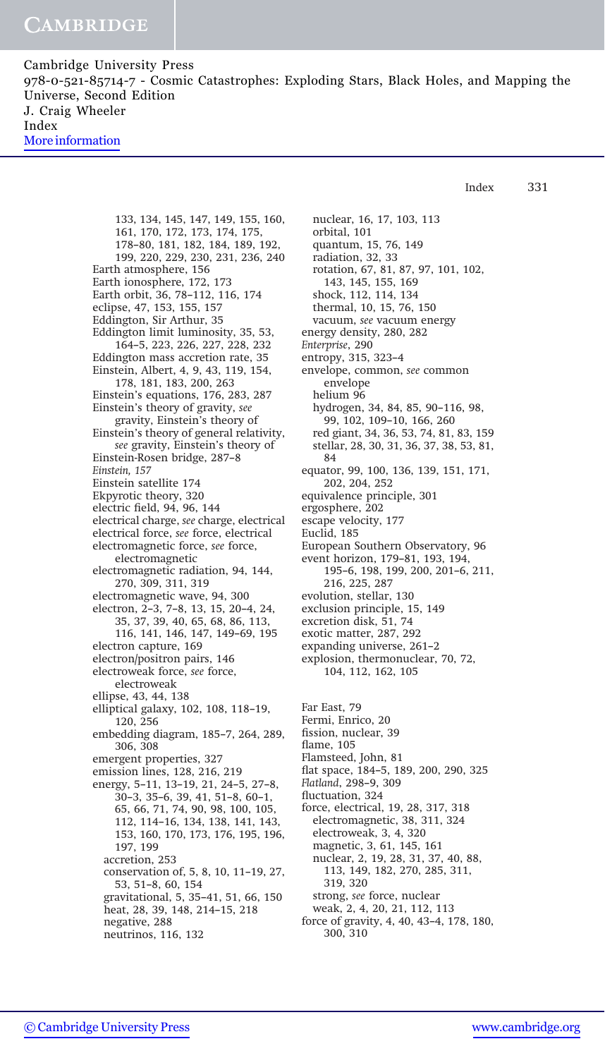> 133, 134, 145, 147, 149, 155, 160, 161, 170, 172, 173, 174, 175, 178–80, 181, 182, 184, 189, 192, 199, 220, 229, 230, 231, 236, 240 Earth atmosphere, 156 Earth ionosphere, 172, 173 Earth orbit, 36, 78–112, 116, 174 eclipse, 47, 153, 155, 157 Eddington, Sir Arthur, 35 Eddington limit luminosity, 35, 53, 164–5, 223, 226, 227, 228, 232 Eddington mass accretion rate, 35 Einstein, Albert, 4, 9, 43, 119, 154, 178, 181, 183, 200, 263 Einstein's equations, 176, 283, 287 Einstein's theory of gravity, see gravity, Einstein's theory of Einstein's theory of general relativity, see gravity, Einstein's theory of Einstein-Rosen bridge, 287–8 Einstein, 157 Einstein satellite 174 Ekpyrotic theory, 320 electric field, 94, 96, 144 electrical charge, see charge, electrical electrical force, see force, electrical electromagnetic force, see force, electromagnetic electromagnetic radiation, 94, 144, 270, 309, 311, 319 electromagnetic wave, 94, 300 electron, 2–3, 7–8, 13, 15, 20–4, 24, 35, 37, 39, 40, 65, 68, 86, 113, 116, 141, 146, 147, 149–69, 195 electron capture, 169 electron/positron pairs, 146 electroweak force, see force, electroweak ellipse, 43, 44, 138 elliptical galaxy, 102, 108, 118–19, 120, 256 embedding diagram, 185–7, 264, 289, 306, 308 emergent properties, 327 emission lines, 128, 216, 219 energy, 5–11, 13–19, 21, 24–5, 27–8, 30–3, 35–6, 39, 41, 51–8, 60–1, 65, 66, 71, 74, 90, 98, 100, 105, 112, 114–16, 134, 138, 141, 143, 153, 160, 170, 173, 176, 195, 196, 197, 199 accretion, 253 conservation of, 5, 8, 10, 11–19, 27, 53, 51–8, 60, 154 gravitational, 5, 35–41, 51, 66, 150 heat, 28, 39, 148, 214–15, 218 negative, 288 neutrinos, 116, 132

nuclear, 16, 17, 103, 113 orbital, 101 quantum, 15, 76, 149 radiation, 32, 33 rotation, 67, 81, 87, 97, 101, 102, 143, 145, 155, 169 shock, 112, 114, 134 thermal, 10, 15, 76, 150 vacuum, see vacuum energy energy density, 280, 282 Enterprise, 290 entropy, 315, 323–4 envelope, common, see common envelope helium 96 hydrogen, 34, 84, 85, 90–116, 98, 99, 102, 109–10, 166, 260 red giant, 34, 36, 53, 74, 81, 83, 159 stellar, 28, 30, 31, 36, 37, 38, 53, 81, 84 equator, 99, 100, 136, 139, 151, 171, 202, 204, 252 equivalence principle, 301 ergosphere, 202 escape velocity, 177 Euclid, 185 European Southern Observatory, 96 event horizon, 179–81, 193, 194, 195–6, 198, 199, 200, 201–6, 211, 216, 225, 287 evolution, stellar, 130 exclusion principle, 15, 149 excretion disk, 51, 74 exotic matter, 287, 292 expanding universe, 261–2 explosion, thermonuclear, 70, 72, 104, 112, 162, 105 Far East, 79 Fermi, Enrico, 20 fission, nuclear, 39 flame, 105 Flamsteed, John, 81 flat space, 184–5, 189, 200, 290, 325

Index 331

Flatland, 298–9, 309

fluctuation, 324

force, electrical, 19, 28, 317, 318

electromagnetic, 38, 311, 324

- electroweak, 3, 4, 320
- magnetic, 3, 61, 145, 161

nuclear, 2, 19, 28, 31, 37, 40, 88, 113, 149, 182, 270, 285, 311,

- 319, 320
- strong, see force, nuclear
- weak, 2, 4, 20, 21, 112, 113
- force of gravity, 4, 40, 43–4, 178, 180, 300, 310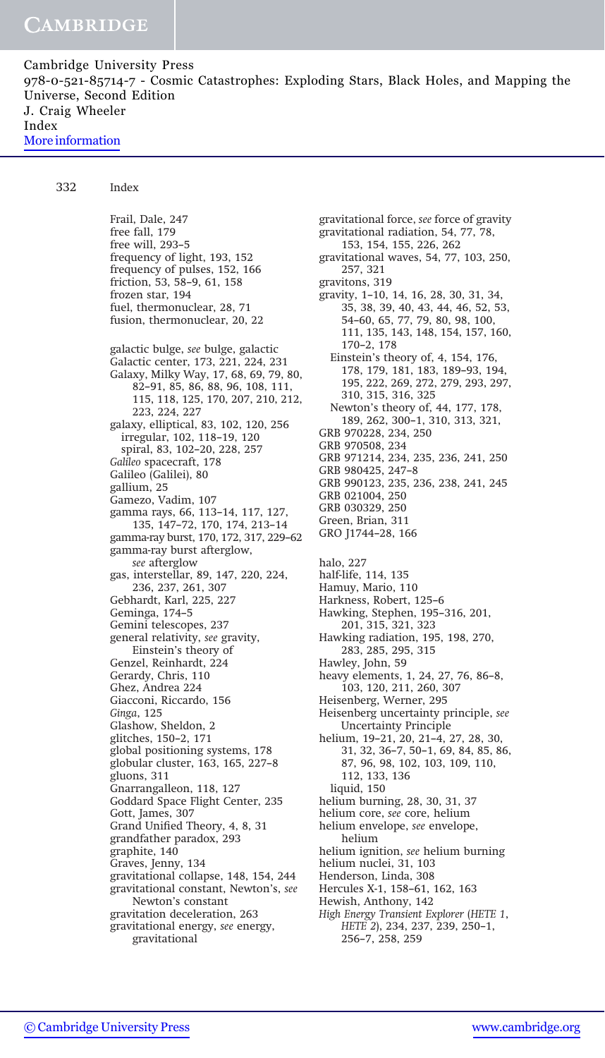332 Index

Frail, Dale, 247 free fall, 179 free will, 293–5 frequency of light, 193, 152 frequency of pulses, 152, 166 friction, 53, 58–9, 61, 158 frozen star, 194 fuel, thermonuclear, 28, 71 fusion, thermonuclear, 20, 22 galactic bulge, see bulge, galactic Galactic center, 173, 221, 224, 231 Galaxy, Milky Way, 17, 68, 69, 79, 80, 82–91, 85, 86, 88, 96, 108, 111, 115, 118, 125, 170, 207, 210, 212, 223, 224, 227 galaxy, elliptical, 83, 102, 120, 256 irregular, 102, 118–19, 120 spiral, 83, 102–20, 228, 257 Galileo spacecraft, 178 Galileo (Galilei), 80 gallium, 25 Gamezo, Vadim, 107 gamma rays, 66, 113–14, 117, 127, 135, 147–72, 170, 174, 213–14 gamma-ray burst, 170, 172, 317, 229–62 gamma-ray burst afterglow, see afterglow gas, interstellar, 89, 147, 220, 224, 236, 237, 261, 307 Gebhardt, Karl, 225, 227 Geminga, 174–5 Gemini telescopes, 237 general relativity, see gravity, Einstein's theory of Genzel, Reinhardt, 224 Gerardy, Chris, 110 Ghez, Andrea 224 Giacconi, Riccardo, 156 Ginga, 125 Glashow, Sheldon, 2 glitches, 150–2, 171 global positioning systems, 178 globular cluster, 163, 165, 227–8 gluons, 311 Gnarrangalleon, 118, 127 Goddard Space Flight Center, 235 Gott, James, 307 Grand Unified Theory, 4, 8, 31 grandfather paradox, 293 graphite, 140 Graves, Jenny, 134 gravitational collapse, 148, 154, 244 gravitational constant, Newton's, see Newton's constant gravitation deceleration, 263 gravitational energy, see energy, gravitational

gravitational radiation, 54, 77, 78, 153, 154, 155, 226, 262 gravitational waves, 54, 77, 103, 250, 257, 321 gravitons, 319 gravity, 1–10, 14, 16, 28, 30, 31, 34, 35, 38, 39, 40, 43, 44, 46, 52, 53, 54–60, 65, 77, 79, 80, 98, 100, 111, 135, 143, 148, 154, 157, 160, 170–2, 178 Einstein's theory of, 4, 154, 176, 178, 179, 181, 183, 189–93, 194, 195, 222, 269, 272, 279, 293, 297, 310, 315, 316, 325 Newton's theory of, 44, 177, 178, 189, 262, 300–1, 310, 313, 321, GRB 970228, 234, 250 GRB 970508, 234 GRB 971214, 234, 235, 236, 241, 250 GRB 980425, 247–8 GRB 990123, 235, 236, 238, 241, 245 GRB 021004, 250 GRB 030329, 250 Green, Brian, 311 GRO J1744–28, 166 halo, 227 half-life, 114, 135 Hamuy, Mario, 110 Harkness, Robert, 125–6 Hawking, Stephen, 195–316, 201, 201, 315, 321, 323 Hawking radiation, 195, 198, 270, 283, 285, 295, 315 Hawley, John, 59 heavy elements, 1, 24, 27, 76, 86–8, 103, 120, 211, 260, 307 Heisenberg, Werner, 295 Heisenberg uncertainty principle, see Uncertainty Principle helium, 19–21, 20, 21–4, 27, 28, 30, 31, 32, 36–7, 50–1, 69, 84, 85, 86, 87, 96, 98, 102, 103, 109, 110, 112, 133, 136 liquid, 150 helium burning, 28, 30, 31, 37 helium core, see core, helium helium envelope, see envelope, helium helium ignition, see helium burning helium nuclei, 31, 103 Henderson, Linda, 308 Hercules X-1, 158–61, 162, 163 Hewish, Anthony, 142 High Energy Transient Explorer (HETE 1, HETE 2), 234, 237, 239, 250–1, 256–7, 258, 259

gravitational force, see force of gravity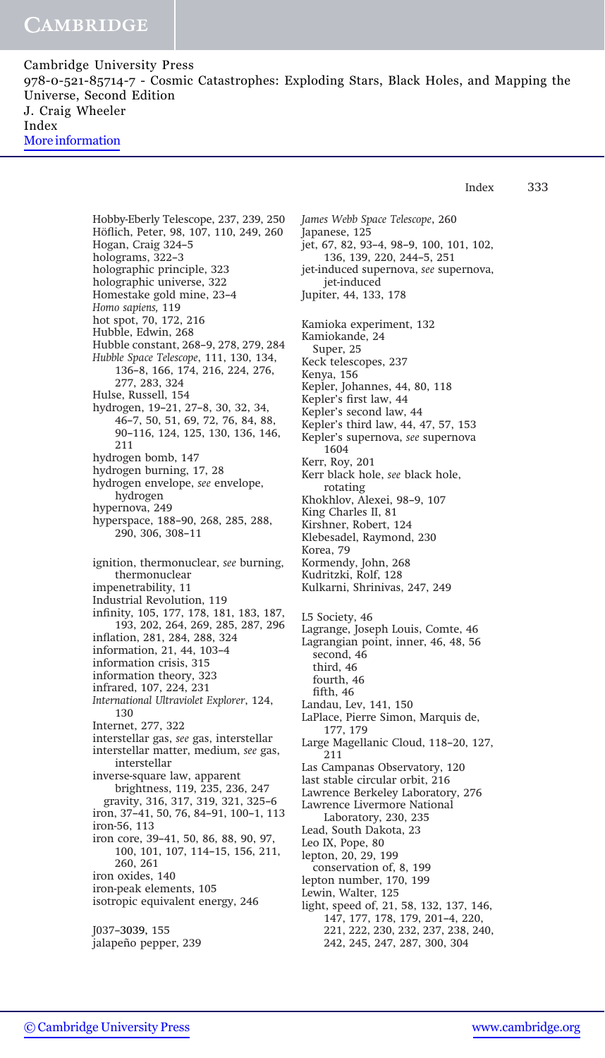Index 333

Hobby-Eberly Telescope, 237, 239, 250 Höflich, Peter, 98, 107, 110, 249, 260 Hogan, Craig 324–5 holograms, 322–3 holographic principle, 323 holographic universe, 322 Homestake gold mine, 23–4 Homo sapiens, 119 hot spot, 70, 172, 216 Hubble, Edwin, 268 Hubble constant, 268–9, 278, 279, 284 Hubble Space Telescope, 111, 130, 134, 136–8, 166, 174, 216, 224, 276, 277, 283, 324 Hulse, Russell, 154 hydrogen, 19–21, 27–8, 30, 32, 34, 46–7, 50, 51, 69, 72, 76, 84, 88, 90–116, 124, 125, 130, 136, 146, 211 hydrogen bomb, 147 hydrogen burning, 17, 28 hydrogen envelope, see envelope, hydrogen hypernova, 249 hyperspace, 188–90, 268, 285, 288, 290, 306, 308–11 ignition, thermonuclear, see burning, thermonuclear impenetrability, 11 Industrial Revolution, 119 infinity, 105, 177, 178, 181, 183, 187, 193, 202, 264, 269, 285, 287, 296 inflation, 281, 284, 288, 324 information, 21, 44, 103–4 information crisis, 315 information theory, 323 infrared, 107, 224, 231 International Ultraviolet Explorer, 124, 130 Internet, 277, 322 interstellar gas, see gas, interstellar interstellar matter, medium, see gas, interstellar inverse-square law, apparent brightness, 119, 235, 236, 247 gravity, 316, 317, 319, 321, 325–6 iron, 37–41, 50, 76, 84–91, 100–1, 113 iron-56, 113 iron core, 39–41, 50, 86, 88, 90, 97, 100, 101, 107, 114–15, 156, 211, 260, 261 iron oxides, 140 iron-peak elements, 105 isotropic equivalent energy, 246 J037–3039, 155

James Webb Space Telescope, 260 Japanese, 125 jet, 67, 82, 93–4, 98–9, 100, 101, 102, 136, 139, 220, 244–5, 251 jet-induced supernova, see supernova, jet-induced Jupiter, 44, 133, 178 Kamioka experiment, 132 Kamiokande, 24 Super, 25 Keck telescopes, 237 Kenya, 156 Kepler, Johannes, 44, 80, 118 Kepler's first law, 44 Kepler's second law, 44 Kepler's third law, 44, 47, 57, 153 Kepler's supernova, see supernova 1604 Kerr, Roy, 201 Kerr black hole, see black hole, rotating Khokhlov, Alexei, 98–9, 107 King Charles II, 81 Kirshner, Robert, 124 Klebesadel, Raymond, 230 Korea, 79 Kormendy, John, 268 Kudritzki, Rolf, 128 Kulkarni, Shrinivas, 247, 249 L5 Society, 46 Lagrange, Joseph Louis, Comte, 46 Lagrangian point, inner, 46, 48, 56 second, 46 third, 46 fourth, 46 fifth, 46 Landau, Lev, 141, 150 LaPlace, Pierre Simon, Marquis de, 177, 179 Large Magellanic Cloud, 118–20, 127, 211 Las Campanas Observatory, 120 last stable circular orbit, 216 Lawrence Berkeley Laboratory, 276 Lawrence Livermore National Laboratory, 230, 235 Lead, South Dakota, 23 Leo IX, Pope, 80 lepton, 20, 29, 199 conservation of, 8, 199 lepton number, 170, 199 Lewin, Walter, 125 light, speed of, 21, 58, 132, 137, 146, 147, 177, 178, 179, 201–4, 220, 221, 222, 230, 232, 237, 238, 240,

242, 245, 247, 287, 300, 304

jalapeño pepper, 239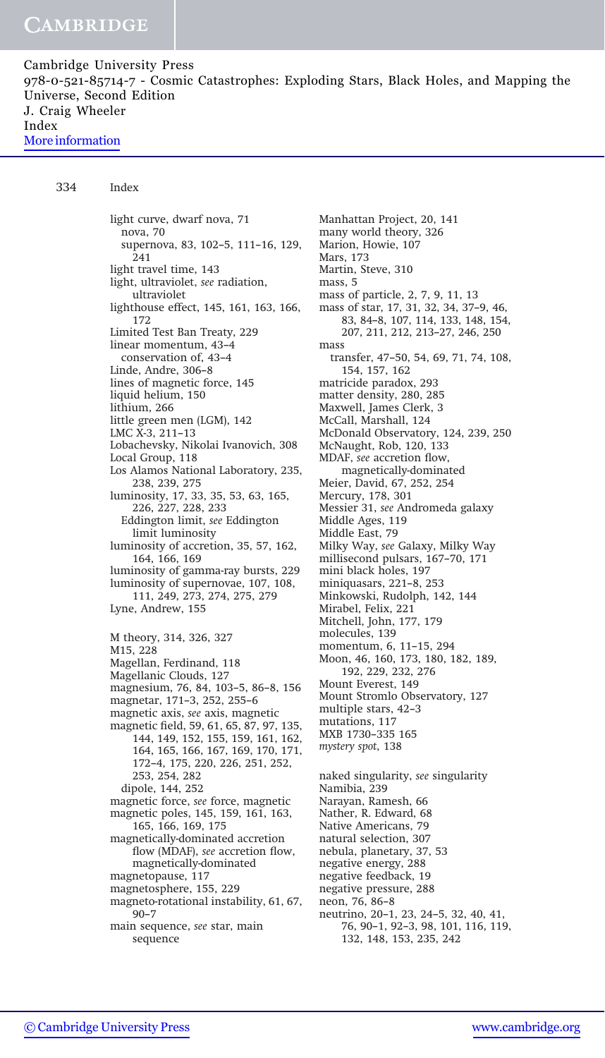334 Index

light curve, dwarf nova, 71 nova, 70 supernova, 83, 102–5, 111–16, 129, 241 light travel time, 143 light, ultraviolet, see radiation, ultraviolet lighthouse effect, 145, 161, 163, 166, 172 Limited Test Ban Treaty, 229 linear momentum, 43–4 conservation of, 43–4 Linde, Andre, 306–8 lines of magnetic force, 145 liquid helium, 150 lithium, 266 little green men (LGM), 142 LMC X-3, 211–13 Lobachevsky, Nikolai Ivanovich, 308 Local Group, 118 Los Alamos National Laboratory, 235, 238, 239, 275 luminosity, 17, 33, 35, 53, 63, 165, 226, 227, 228, 233 Eddington limit, see Eddington limit luminosity luminosity of accretion, 35, 57, 162, 164, 166, 169 luminosity of gamma-ray bursts, 229 luminosity of supernovae, 107, 108, 111, 249, 273, 274, 275, 279 Lyne, Andrew, 155 M theory, 314, 326, 327 M15, 228 Magellan, Ferdinand, 118 Magellanic Clouds, 127 magnesium, 76, 84, 103–5, 86–8, 156 magnetar, 171–3, 252, 255–6 magnetic axis, see axis, magnetic magnetic field, 59, 61, 65, 87, 97, 135, 144, 149, 152, 155, 159, 161, 162, 164, 165, 166, 167, 169, 170, 171, 172–4, 175, 220, 226, 251, 252, 253, 254, 282 dipole, 144, 252 magnetic force, see force, magnetic magnetic poles, 145, 159, 161, 163, 165, 166, 169, 175 magnetically-dominated accretion flow (MDAF), see accretion flow, magnetically-dominated magnetopause, 117 magnetosphere, 155, 229 magneto-rotational instability, 61, 67, 90–7 main sequence, see star, main sequence

Manhattan Project, 20, 141 many world theory, 326 Marion, Howie, 107 Mars, 173 Martin, Steve, 310 mass, 5 mass of particle, 2, 7, 9, 11, 13 mass of star, 17, 31, 32, 34, 37–9, 46, 83, 84–8, 107, 114, 133, 148, 154, 207, 211, 212, 213–27, 246, 250 mass transfer, 47–50, 54, 69, 71, 74, 108, 154, 157, 162 matricide paradox, 293 matter density, 280, 285 Maxwell, James Clerk, 3 McCall, Marshall, 124 McDonald Observatory, 124, 239, 250 McNaught, Rob, 120, 133 MDAF, see accretion flow, magnetically-dominated Meier, David, 67, 252, 254 Mercury, 178, 301 Messier 31, see Andromeda galaxy Middle Ages, 119 Middle East, 79 Milky Way, see Galaxy, Milky Way millisecond pulsars, 167–70, 171 mini black holes, 197 miniquasars, 221–8, 253 Minkowski, Rudolph, 142, 144 Mirabel, Felix, 221 Mitchell, John, 177, 179 molecules, 139 momentum, 6, 11–15, 294 Moon, 46, 160, 173, 180, 182, 189, 192, 229, 232, 276 Mount Everest, 149 Mount Stromlo Observatory, 127 multiple stars, 42–3 mutations, 117 MXB 1730–335 165 mystery spot, 138 naked singularity, see singularity Namibia, 239 Narayan, Ramesh, 66 Nather, R.Edward, 68 Native Americans, 79 natural selection, 307 nebula, planetary, 37, 53 negative energy, 288 negative feedback, 19 negative pressure, 288 neon, 76, 86–8 neutrino, 20–1, 23, 24–5, 32, 40, 41, 76, 90–1, 92–3, 98, 101, 116, 119, 132, 148, 153, 235, 242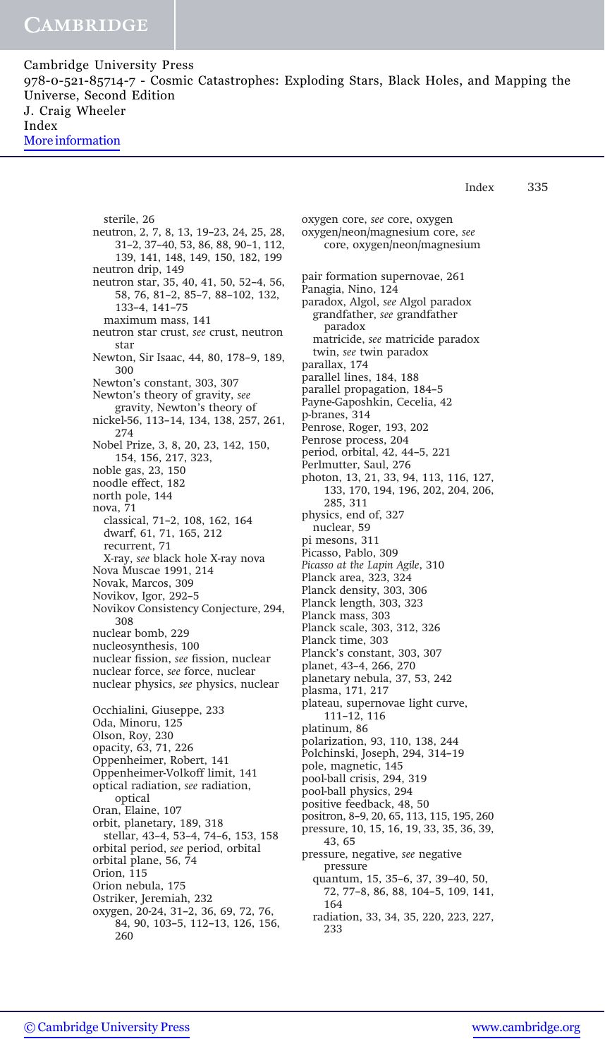> sterile, 26 neutron, 2, 7, 8, 13, 19–23, 24, 25, 28, 31–2, 37–40, 53, 86, 88, 90–1, 112, 139, 141, 148, 149, 150, 182, 199 neutron drip, 149 neutron star, 35, 40, 41, 50, 52–4, 56, 58, 76, 81–2, 85–7, 88–102, 132, 133–4, 141–75 maximum mass, 141 neutron star crust, see crust, neutron star Newton, Sir Isaac, 44, 80, 178–9, 189, 300 Newton's constant, 303, 307 Newton's theory of gravity, see gravity, Newton's theory of nickel-56, 113–14, 134, 138, 257, 261, 274 Nobel Prize, 3, 8, 20, 23, 142, 150, 154, 156, 217, 323, noble gas, 23, 150 noodle effect, 182 north pole, 144 nova, 71 classical, 71–2, 108, 162, 164 dwarf, 61, 71, 165, 212 recurrent, 71 X-ray, see black hole X-ray nova Nova Muscae 1991, 214 Novak, Marcos, 309 Novikov, Igor, 292–5 Novikov Consistency Conjecture, 294, 308 nuclear bomb, 229 nucleosynthesis, 100 nuclear fission, see fission, nuclear nuclear force, see force, nuclear nuclear physics, see physics, nuclear Occhialini, Giuseppe, 233 Oda, Minoru, 125 Olson, Roy, 230 opacity, 63, 71, 226 Oppenheimer, Robert, 141 Oppenheimer-Volkoff limit, 141 optical radiation, see radiation, optical Oran, Elaine, 107 orbit, planetary, 189, 318 stellar, 43–4, 53–4, 74–6, 153, 158 orbital period, see period, orbital orbital plane, 56, 74 Orion, 115 Orion nebula, 175 Ostriker, Jeremiah, 232 oxygen, 20-24, 31–2, 36, 69, 72, 76, 84, 90, 103–5, 112–13, 126, 156, 260

oxygen core, see core, oxygen oxygen/neon/magnesium core, see core, oxygen/neon/magnesium pair formation supernovae, 261 Panagia, Nino, 124 paradox, Algol, see Algol paradox grandfather, see grandfather paradox matricide, see matricide paradox twin, see twin paradox parallax, 174 parallel lines, 184, 188 parallel propagation, 184–5 Payne-Gaposhkin, Cecelia, 42 p-branes, 314 Penrose, Roger, 193, 202 Penrose process, 204 period, orbital, 42, 44–5, 221 Perlmutter, Saul, 276 photon, 13, 21, 33, 94, 113, 116, 127, 133, 170, 194, 196, 202, 204, 206, 285, 311 physics, end of, 327 nuclear, 59 pi mesons, 311 Picasso, Pablo, 309 Picasso at the Lapin Agile, 310 Planck area, 323, 324 Planck density, 303, 306 Planck length, 303, 323 Planck mass, 303 Planck scale, 303, 312, 326 Planck time, 303 Planck's constant, 303, 307 planet, 43–4, 266, 270 planetary nebula, 37, 53, 242 plasma, 171, 217 plateau, supernovae light curve, 111–12, 116 platinum, 86 polarization, 93, 110, 138, 244 Polchinski, Joseph, 294, 314–19 pole, magnetic, 145 pool-ball crisis, 294, 319 pool-ball physics, 294 positive feedback, 48, 50 positron, 8–9, 20, 65, 113, 115, 195, 260 pressure, 10, 15, 16, 19, 33, 35, 36, 39, 43, 65 pressure, negative, see negative pressure quantum, 15, 35–6, 37, 39–40, 50, 72, 77–8, 86, 88, 104–5, 109, 141, 164 radiation, 33, 34, 35, 220, 223, 227, 233

Index 335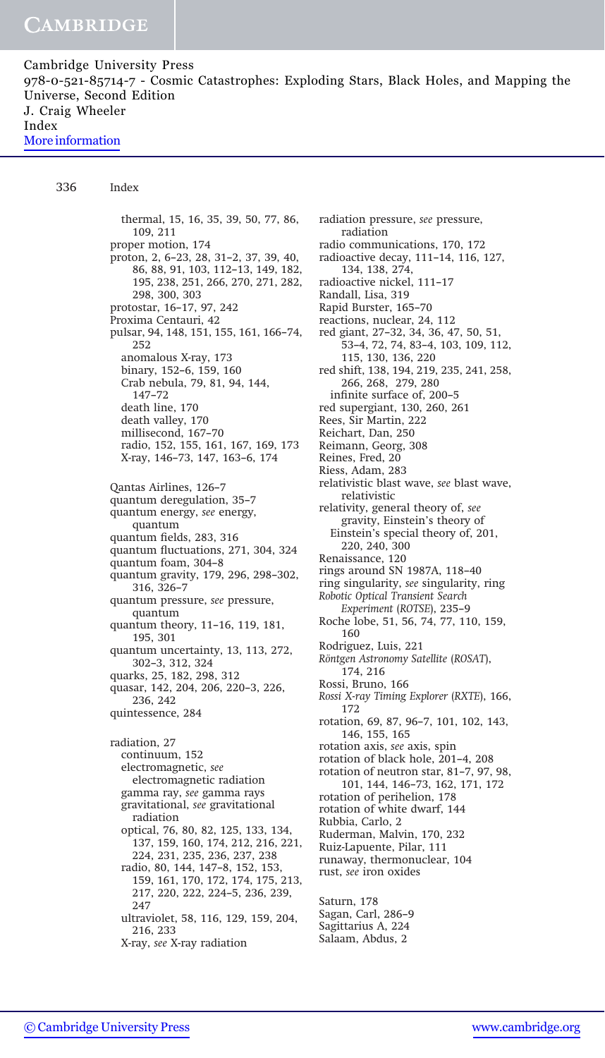336 Index

thermal, 15, 16, 35, 39, 50, 77, 86, 109, 211 proper motion, 174 proton, 2, 6–23, 28, 31–2, 37, 39, 40, 86, 88, 91, 103, 112–13, 149, 182, 195, 238, 251, 266, 270, 271, 282, 298, 300, 303 protostar, 16–17, 97, 242 Proxima Centauri, 42 pulsar, 94, 148, 151, 155, 161, 166–74, 252 anomalous X-ray, 173 binary, 152–6, 159, 160 Crab nebula, 79, 81, 94, 144, 147–72 death line, 170 death valley, 170 millisecond, 167–70 radio, 152, 155, 161, 167, 169, 173 X-ray, 146–73, 147, 163–6, 174 Qantas Airlines, 126–7 quantum deregulation, 35–7 quantum energy, see energy, quantum quantum fields, 283, 316 quantum fluctuations, 271, 304, 324 quantum foam, 304–8 quantum gravity, 179, 296, 298–302, 316, 326–7 quantum pressure, see pressure, quantum quantum theory, 11–16, 119, 181, 195, 301 quantum uncertainty, 13, 113, 272, 302–3, 312, 324 quarks, 25, 182, 298, 312 quasar, 142, 204, 206, 220–3, 226, 236, 242 quintessence, 284 radiation, 27 continuum, 152 electromagnetic, see electromagnetic radiation gamma ray, see gamma rays gravitational, see gravitational radiation optical, 76, 80, 82, 125, 133, 134, 137, 159, 160, 174, 212, 216, 221, 224, 231, 235, 236, 237, 238 radio, 80, 144, 147–8, 152, 153, 159, 161, 170, 172, 174, 175, 213, 217, 220, 222, 224–5, 236, 239, 247 ultraviolet, 58, 116, 129, 159, 204, 216, 233

X-ray, see X-ray radiation

radiation pressure, see pressure, radiation radio communications, 170, 172 radioactive decay, 111–14, 116, 127, 134, 138, 274, radioactive nickel, 111–17 Randall, Lisa, 319 Rapid Burster, 165–70 reactions, nuclear, 24, 112 red giant, 27–32, 34, 36, 47, 50, 51, 53–4, 72, 74, 83–4, 103, 109, 112, 115, 130, 136, 220 red shift, 138, 194, 219, 235, 241, 258, 266, 268, 279, 280 infinite surface of, 200–5 red supergiant, 130, 260, 261 Rees, Sir Martin, 222 Reichart, Dan, 250 Reimann, Georg, 308 Reines, Fred, 20 Riess, Adam, 283 relativistic blast wave, see blast wave, relativistic relativity, general theory of, see gravity, Einstein's theory of Einstein's special theory of, 201, 220, 240, 300 Renaissance, 120 rings around SN 1987A, 118–40 ring singularity, see singularity, ring Robotic Optical Transient Search Experiment (ROTSE), 235–9 Roche lobe, 51, 56, 74, 77, 110, 159, 160 Rodriguez, Luis, 221 Röntgen Astronomy Satellite (ROSAT), 174, 216 Rossi, Bruno, 166 Rossi X-ray Timing Explorer (RXTE), 166, 172 rotation, 69, 87, 96–7, 101, 102, 143, 146, 155, 165 rotation axis, see axis, spin rotation of black hole, 201–4, 208 rotation of neutron star, 81–7, 97, 98, 101, 144, 146–73, 162, 171, 172 rotation of perihelion, 178 rotation of white dwarf, 144 Rubbia, Carlo, 2 Ruderman, Malvin, 170, 232 Ruiz-Lapuente, Pilar, 111 runaway, thermonuclear, 104 rust, see iron oxides Saturn, 178 Sagan, Carl, 286–9 Sagittarius A, 224 Salaam, Abdus, 2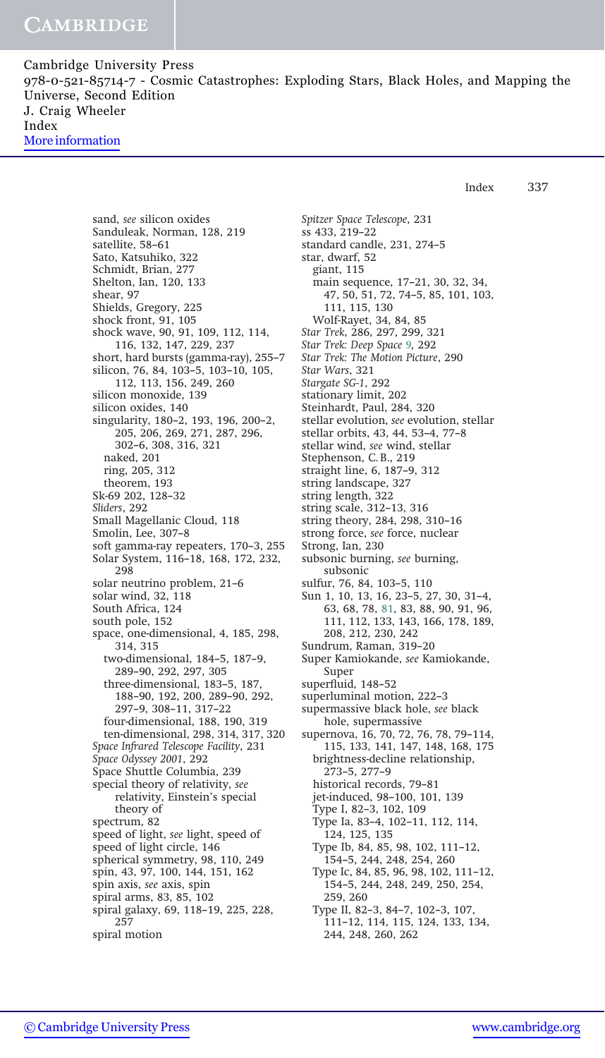Index 337

sand, see silicon oxides Sanduleak, Norman, 128, 219 satellite, 58–61 Sato, Katsuhiko, 322 Schmidt, Brian, 277 Shelton, Ian, 120, 133 shear, 97 Shields, Gregory, 225 shock front, 91, 105 shock wave, 90, 91, 109, 112, 114, 116, 132, 147, 229, 237 short, hard bursts (gamma-ray), 255–7 silicon, 76, 84, 103–5, 103–10, 105, 112, 113, 156, 249, 260 silicon monoxide, 139 silicon oxides, 140 singularity, 180–2, 193, 196, 200–2, 205, 206, 269, 271, 287, 296, 302–6, 308, 316, 321 naked, 201 ring, 205, 312 theorem, 193 Sk-69 202, 128–32 Sliders, 292 Small Magellanic Cloud, 118 Smolin, Lee, 307–8 soft gamma-ray repeaters, 170–3, 255 Solar System, 116–18, 168, 172, 232, 298 solar neutrino problem, 21–6 solar wind, 32, 118 South Africa, 124 south pole, 152 space, one-dimensional, 4, 185, 298, 314, 315 two-dimensional, 184–5, 187–9, 289–90, 292, 297, 305 three-dimensional, 183–5, 187, 188–90, 192, 200, 289–90, 292, 297–9, 308–11, 317–22 four-dimensional, 188, 190, 319 ten-dimensional, 298, 314, 317, 320 Space Infrared Telescope Facility, 231 Space Odyssey 2001, 292 Space Shuttle Columbia, 239 special theory of relativity, see relativity, Einstein's special theory of spectrum, 82 speed of light, see light, speed of speed of light circle, 146 spherical symmetry, 98, 110, 249 spin, 43, 97, 100, 144, 151, 162 spin axis, see axis, spin spiral arms, 83, 85, 102 spiral galaxy, 69, 118–19, 225, 228, 257 spiral motion

Spitzer Space Telescope, 231 ss 433, 219–22 standard candle, 231, 274–5 star, dwarf, 52 giant, 115 main sequence, 17–21, 30, 32, 34, 47, 50, 51, 72, 74–5, 85, 101, 103, 111, 115, 130 Wolf-Rayet, 34, 84, 85 Star Trek, 286, 297, 299, 321 Star Trek: Deep Space 9, 292 Star Trek: The Motion Picture, 290 Star Wars, 321 Stargate SG-1, 292 stationary limit, 202 Steinhardt, Paul, 284, 320 stellar evolution, see evolution, stellar stellar orbits, 43, 44, 53–4, 77–8 stellar wind, see wind, stellar Stephenson, C.B., 219 straight line, 6, 187–9, 312 string landscape, 327 string length, 322 string scale, 312–13, 316 string theory, 284, 298, 310–16 strong force, see force, nuclear Strong, Ian, 230 subsonic burning, see burning, subsonic sulfur, 76, 84, 103–5, 110 Sun 1, 10, 13, 16, 23–5, 27, 30, 31–4, 63, 68, 78, 81, 83, 88, 90, 91, 96, 111, 112, 133, 143, 166, 178, 189, 208, 212, 230, 242 Sundrum, Raman, 319–20 Super Kamiokande, see Kamiokande, Super superfluid, 148–52 superluminal motion, 222–3 supermassive black hole, see black hole, supermassive supernova, 16, 70, 72, 76, 78, 79–114, 115, 133, 141, 147, 148, 168, 175 brightness-decline relationship, 273–5, 277–9 historical records, 79–81 jet-induced, 98–100, 101, 139 Type I, 82–3, 102, 109 Type Ia, 83–4, 102–11, 112, 114, 124, 125, 135 Type Ib, 84, 85, 98, 102, 111–12, 154–5, 244, 248, 254, 260 Type Ic, 84, 85, 96, 98, 102, 111–12, 154–5, 244, 248, 249, 250, 254, 259, 260 Type II, 82–3, 84–7, 102–3, 107, 111–12, 114, 115, 124, 133, 134,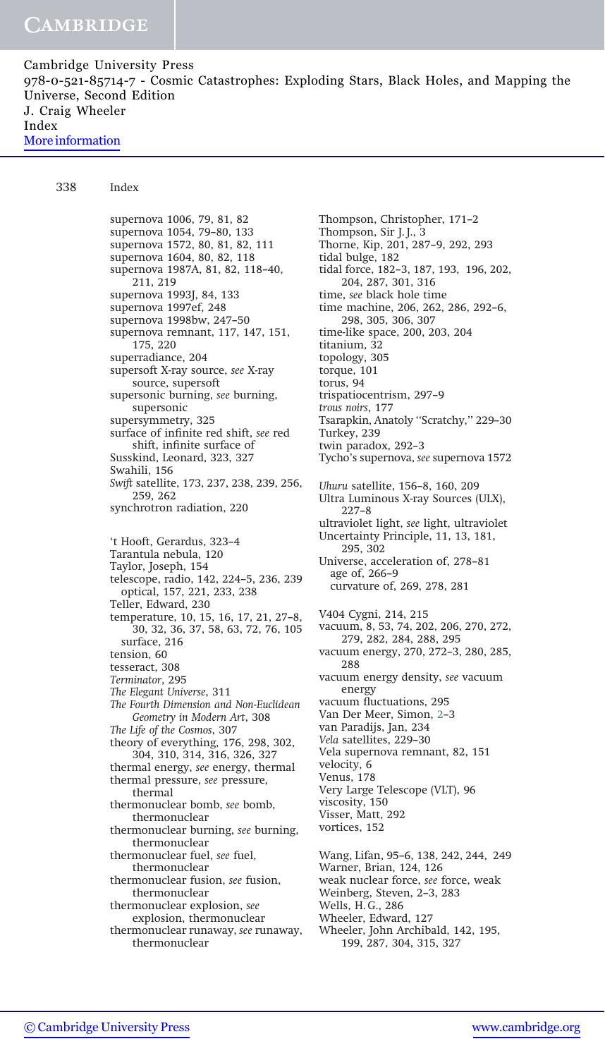338 Index

supernova 1006, 79, 81, 82 supernova 1054, 79–80, 133 supernova 1572, 80, 81, 82, 111 supernova 1604, 80, 82, 118 supernova 1987A, 81, 82, 118–40, 211, 219 supernova 1993J, 84, 133 supernova 1997ef, 248 supernova 1998bw, 247–50 supernova remnant, 117, 147, 151, 175, 220 superradiance, 204 supersoft X-ray source, see X-ray source, supersoft supersonic burning, see burning, supersonic supersymmetry, 325 surface of infinite red shift, see red shift, infinite surface of Susskind, Leonard, 323, 327 Swahili, 156 Swift satellite, 173, 237, 238, 239, 256, 259, 262 synchrotron radiation, 220 't Hooft, Gerardus, 323–4 Tarantula nebula, 120 Taylor, Joseph, 154 telescope, radio, 142, 224–5, 236, 239 optical, 157, 221, 233, 238 Teller, Edward, 230 temperature, 10, 15, 16, 17, 21, 27–8, 30, 32, 36, 37, 58, 63, 72, 76, 105 surface, 216 tension, 60 tesseract, 308 Terminator, 295 The Elegant Universe, 311 The Fourth Dimension and Non-Euclidean Geometry in Modern Art, 308 The Life of the Cosmos, 307 theory of everything, 176, 298, 302, 304, 310, 314, 316, 326, 327 thermal energy, see energy, thermal thermal pressure, see pressure, thermal thermonuclear bomb, see bomb, thermonuclear thermonuclear burning, see burning, thermonuclear thermonuclear fuel, see fuel, thermonuclear thermonuclear fusion, see fusion, thermonuclear thermonuclear explosion, see explosion, thermonuclear thermonuclear runaway, see runaway, thermonuclear

Thompson, Christopher, 171–2 Thompson, Sir J.J., 3 Thorne, Kip, 201, 287–9, 292, 293 tidal bulge, 182 tidal force, 182–3, 187, 193, 196, 202, 204, 287, 301, 316 time, see black hole time time machine, 206, 262, 286, 292–6, 298, 305, 306, 307 time-like space, 200, 203, 204 titanium, 32 topology, 305 torque, 101 torus, 94 trispatiocentrism, 297–9 trous noirs, 177 Tsarapkin, Anatoly ''Scratchy,'' 229–30 Turkey, 239 twin paradox, 292–3 Tycho's supernova, see supernova 1572 Uhuru satellite, 156–8, 160, 209 Ultra Luminous X-ray Sources (ULX), 227–8 ultraviolet light, see light, ultraviolet Uncertainty Principle, 11, 13, 181, 295, 302 Universe, acceleration of, 278–81 age of, 266–9 curvature of, 269, 278, 281 V404 Cygni, 214, 215 vacuum, 8, 53, 74, 202, 206, 270, 272, 279, 282, 284, 288, 295 vacuum energy, 270, 272–3, 280, 285, 288 vacuum energy density, see vacuum energy vacuum fluctuations, 295 Van Der Meer, Simon, 2–3 van Paradijs, Jan, 234 Vela satellites, 229–30 Vela supernova remnant, 82, 151 velocity, 6 Venus, 178 Very Large Telescope (VLT), 96 viscosity, 150 Visser, Matt, 292 vortices, 152 Wang, Lifan, 95–6, 138, 242, 244, 249 Warner, Brian, 124, 126 weak nuclear force, see force, weak Weinberg, Steven, 2–3, 283 Wells, H.G., 286 Wheeler, Edward, 127 Wheeler, John Archibald, 142, 195, 199, 287, 304, 315, 327